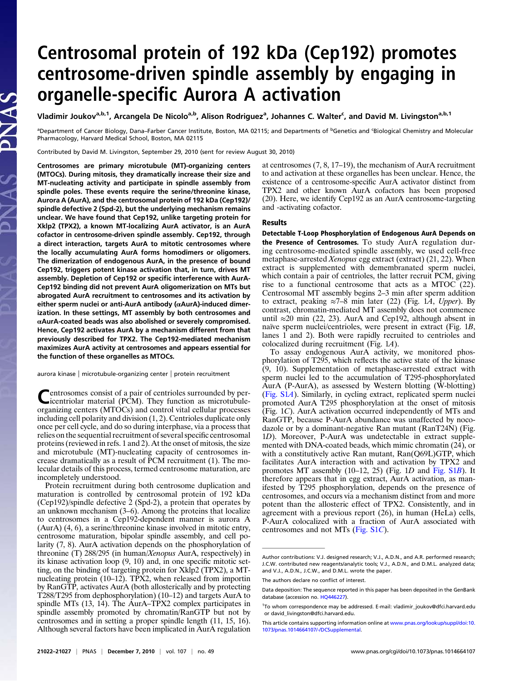## Centrosomal protein of 192 kDa (Cep192) promotes centrosome-driven spindle assembly by engaging in organelle-specific Aurora A activation

Vladimir Joukov<sup>a,b,1</sup>, Arcangela De Nicolo<sup>a,b</sup>, Alison Rodriguez<sup>a</sup>, Johannes C. Walter<sup>c</sup>, and David M. Livingston<sup>a,b,1</sup>

<sup>a</sup>Department of Cancer Biology, Dana–Farber Cancer Institute, Boston, MA 02115; and Departments of <sup>b</sup>Genetics and <sup>c</sup>Biological Chemistry and Molecular Pharmacology, Harvard Medical School, Boston, MA 02115

Contributed by David M. Livingston, September 29, 2010 (sent for review August 30, 2010)

Centrosomes are primary microtubule (MT)-organizing centers (MTOCs). During mitosis, they dramatically increase their size and MT-nucleating activity and participate in spindle assembly from spindle poles. These events require the serine/threonine kinase, Aurora A (AurA), and the centrosomal protein of 192 kDa (Cep192)/ spindle defective 2 (Spd-2), but the underlying mechanism remains unclear. We have found that Cep192, unlike targeting protein for Xklp2 (TPX2), a known MT-localizing AurA activator, is an AurA cofactor in centrosome-driven spindle assembly. Cep192, through a direct interaction, targets AurA to mitotic centrosomes where the locally accumulating AurA forms homodimers or oligomers. The dimerization of endogenous AurA, in the presence of bound Cep192, triggers potent kinase activation that, in turn, drives MT assembly. Depletion of Cep192 or specific interference with AurA-Cep192 binding did not prevent AurA oligomerization on MTs but abrogated AurA recruitment to centrosomes and its activation by either sperm nuclei or anti-AurA antibody (αAurA)-induced dimerization. In these settings, MT assembly by both centrosomes and αAurA-coated beads was also abolished or severely compromised. Hence, Cep192 activates AurA by a mechanism different from that previously described for TPX2. The Cep192-mediated mechanism maximizes AurA activity at centrosomes and appears essential for the function of these organelles as MTOCs.

aurora kinase | microtubule-organizing center | protein recruitment

Centrosomes consist of a pair of centrioles surrounded by per-icentriolar material (PCM). They function as microtubuleorganizing centers (MTOCs) and control vital cellular processes including cell polarity and division (1, 2). Centrioles duplicate only once per cell cycle, and do so during interphase, via a process that relies on the sequential recruitment of several specific centrosomal proteins (reviewed in refs. 1 and 2). At the onset of mitosis, the size and microtubule (MT)-nucleating capacity of centrosomes increase dramatically as a result of PCM recruitment (1). The molecular details of this process, termed centrosome maturation, are incompletely understood.

Protein recruitment during both centrosome duplication and maturation is controlled by centrosomal protein of 192 kDa (Cep192)/spindle defective  $\frac{2}{2}$  (Spd-2), a protein that operates by an unknown mechanism (3–6). Among the proteins that localize to centrosomes in a Cep192-dependent manner is aurora A (AurA) (4, 6), a serine/threonine kinase involved in mitotic entry, centrosome maturation, bipolar spindle assembly, and cell polarity (7, 8). AurA activation depends on the phosphorylation of threonine (T) 288/295 (in human/Xenopus AurA, respectively) in its kinase activation loop (9, 10) and, in one specific mitotic setting, on the binding of targeting protein for Xklp2 (TPX2), a MTnucleating protein (10–12). TPX2, when released from importin by RanGTP, activates AurA (both allosterically and by protecting T288/T295 from dephosphorylation) (10–12) and targets AurA to spindle MTs (13, 14). The AurA–TPX2 complex participates in spindle assembly promoted by chromatin/RanGTP but not by centrosomes and in setting a proper spindle length (11, 15, 16). Although several factors have been implicated in AurA regulation at centrosomes (7, 8, 17–19), the mechanism of AurA recruitment to and activation at these organelles has been unclear. Hence, the existence of a centrosome-specific AurA activator distinct from TPX2 and other known AurA cofactors has been proposed (20). Here, we identify Cep192 as an AurA centrosome-targeting and -activating cofactor.

## Results

Detectable T-Loop Phosphorylation of Endogenous AurA Depends on the Presence of Centrosomes. To study AurA regulation during centrosome-mediated spindle assembly, we used cell-free metaphase-arrested Xenopus egg extract (extract) (21, 22). When extract is supplemented with demembranated sperm nuclei, which contain a pair of centrioles, the latter recruit PCM, giving rise to a functional centrosome that acts as a MTOC  $(22)$ . Centrosomal MT assembly begins 2–3 min after sperm addition to extract, peaking ≈7–8 min later (22) (Fig. 1 $\overline{A}$ , Upper). By contrast, chromatin-mediated MT assembly does not commence until ≈20 min (22, 23). AurA and Cep192, although absent in naïve sperm nuclei/centrioles, were present in extract (Fig. 1B, lanes 1 and 2). Both were rapidly recruited to centrioles and colocalized during recruitment (Fig. 1A).

To assay endogenous AurA activity, we monitored phosphorylation of T295, which reflects the active state of the kinase (9, 10). Supplementation of metaphase-arrested extract with sperm nuclei led to the accumulation of T295-phosphorylated AurA (P-AurA), as assessed by Western blotting (W-blotting) ([Fig. S1](http://www.pnas.org/lookup/suppl/doi:10.1073/pnas.1014664107/-/DCSupplemental/pnas.201014664SI.pdf?targetid=nameddest=SF1)A). Similarly, in cycling extract, replicated sperm nuclei promoted AurA T295 phosphorylation at the onset of mitosis (Fig. 1C). AurA activation occurred independently of MTs and RanGTP, because P-AurA abundance was unaffected by nocodazole or by a dominant-negative Ran mutant (RanT24N) (Fig. 1D). Moreover, P-AurA was undetectable in extract supplemented with DNA-coated beads, which mimic chromatin (24), or with a constitutively active Ran mutant, Ran(Q69L)GTP, which facilitates AurA interaction with and activation by TPX2 and promotes MT assembly (10–12, 25) (Fig. 1D and [Fig. S1](http://www.pnas.org/lookup/suppl/doi:10.1073/pnas.1014664107/-/DCSupplemental/pnas.201014664SI.pdf?targetid=nameddest=SF1)B). It therefore appears that in egg extract, AurA activation, as manifested by T295 phosphorylation, depends on the presence of centrosomes, and occurs via a mechanism distinct from and more potent than the allosteric effect of TPX2. Consistently, and in agreement with a previous report (26), in human (HeLa) cells, P-AurA colocalized with a fraction of AurA associated with centrosomes and not MTs [\(Fig. S1](http://www.pnas.org/lookup/suppl/doi:10.1073/pnas.1014664107/-/DCSupplemental/pnas.201014664SI.pdf?targetid=nameddest=SF1)C).

Author contributions: V.J. designed research; V.J., A.D.N., and A.R. performed research; J.C.W. contributed new reagents/analytic tools; V.J., A.D.N., and D.M.L. analyzed data; and V.J., A.D.N., J.C.W., and D.M.L. wrote the paper.

The authors declare no conflict of interest.

Data deposition: The sequence reported in this paper has been deposited in the GenBank database (accession no. [HQ446227\)](http://www.pnas.org/external-ref?link_type=GEN&access_num=HQ446227).

<sup>1</sup> To whom correspondence may be addressed. E-mail: [vladimir\\_joukov@dfci.harvard.edu](mailto:vladimir_joukov@dfci.harvard.edu) or [david\\_livingston@dfci.harvard.edu.](mailto:david_livingston@dfci.harvard.edu)

This article contains supporting information online at [www.pnas.org/lookup/suppl/doi:10.](http://www.pnas.org/lookup/suppl/doi:10.1073/pnas.1014664107/-/DCSupplemental) [1073/pnas.1014664107/-/DCSupplemental.](http://www.pnas.org/lookup/suppl/doi:10.1073/pnas.1014664107/-/DCSupplemental)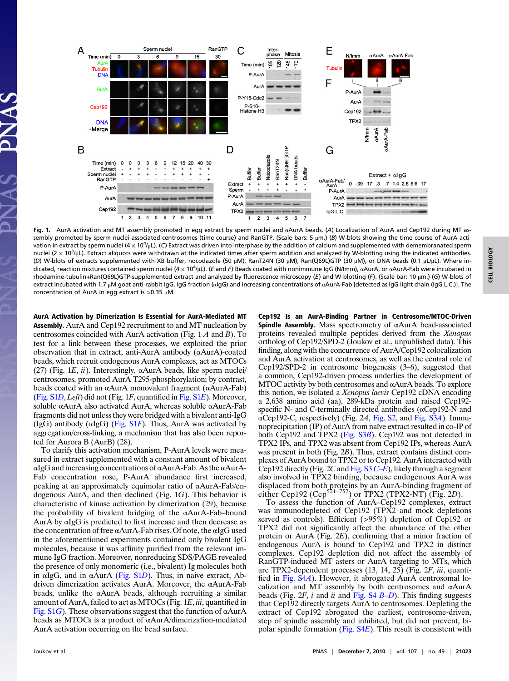

Fig. 1. AurA activation and MT assembly promoted in egg extract by sperm nuclei and αAurA beads. (A) Localization of AurA and Cep192 during MT assembly promoted by sperm nuclei-associated centrosomes (time course) and RanGTP. (Scale bars: 5 μm.) (B) W-blots showing the time course of AurA activation in extract by sperm nuclei (4  $\times$  10<sup>4</sup>/µL). (C) Extract was driven into interphase by the addition of calcium and supplemented with demembranated sperm nuclei (2  $\times$  10<sup>3</sup>/µL). Extract aliquots were withdrawn at the indicated times after sperm addition and analyzed by W-blotting using the indicated antibodies. (D) W-blots of extracts supplemented with XB buffer, nocodazole (50 μM), RanT24N (30 μM), Ran(Q69L)GTP (30 μM), or DNA beads (0.1 μL/μL). Where indicated, reaction mixtures contained sperm nuclei (4 x 10<sup>4</sup>/μL). (*E* and *F*) Beads coated with nonimmune IgG (N/Imm), αAurA, or αAurA-Fab were incubated in rhodamine-tubulin+Ran(Q69L)GTP-supplemented extract and analyzed by fluorescence microscopy (E) and W-blotting (F). (Scale bar: 10 μm.) (G) W-blots of extract incubated with 1.7 μM goat anti-rabbit IgG, IgG fraction (αIgG) and increasing concentrations of αAurA-Fab [detected as IgG light chain (IgG L.C.)]. The concentration of AurA in egg extract is  $\approx$ 0.35 μM.

AurA Activation by Dimerization Is Essential for AurA-Mediated MT **Assembly.** AurA and Cep192 recruitment to and MT nucleation by centrosomes coincided with AurA activation (Fig. 1 A and B). To test for a link between these processes, we exploited the prior observation that in extract, anti-AurA antibody (αAurA)-coated beads, which recruit endogenous AurA complexes, act as MTOCs (27) (Fig. 1*E*,  $\ddot{u}$ ). Interestingly,  $\alpha$ AurA beads, like sperm nuclei/ centrosomes, promoted AurA T295-phosphorylation; by contrast, beads coated with an αAurA monovalent fragment (αAurA-Fab) ([Fig. S1](http://www.pnas.org/lookup/suppl/doi:10.1073/pnas.1014664107/-/DCSupplemental/pnas.201014664SI.pdf?targetid=nameddest=SF1)D, Left) did not (Fig. 1F, quantified in [Fig. S1](http://www.pnas.org/lookup/suppl/doi:10.1073/pnas.1014664107/-/DCSupplemental/pnas.201014664SI.pdf?targetid=nameddest=SF1)E). Moreover, soluble αAurA also activated AurA, whereas soluble αAurA-Fab fragments did not unless they were bridged with a bivalent anti-IgG (IgG) antibody ( $\alpha$ IgG) [\(Fig. S1](http://www.pnas.org/lookup/suppl/doi:10.1073/pnas.1014664107/-/DCSupplemental/pnas.201014664SI.pdf?targetid=nameddest=SF1)F). Thus, AurA was activated by aggregation/cross-linking, a mechanism that has also been reported for Aurora B (AurB) (28).

To clarify this activation mechanism, P-AurA levels were measured in extract supplemented with a constant amount of bivalent αIgG and increasing concentrations of αAurA-Fab. As the αAurA-Fab concentration rose, P-AurA abundance first increased, peaking at an approximately equimolar ratio of αAurA-Fab/endogenous AurA, and then declined (Fig. 1G). This behavior is characteristic of kinase activation by dimerization (29), because the probability of bivalent bridging of the αAurA-Fab–bound AurA by αIgG is predicted to first increase and then decrease as the concentration of free αAurA-Fab rises. Of note, the αIgG used in the aforementioned experiments contained only bivalent IgG molecules, because it was affinity purified from the relevant immune IgG fraction. Moreover, nonreducing SDS/PAGE revealed the presence of only monomeric (i.e., bivalent) Ig molecules both in  $\alpha$ IgG, and in  $\alpha$ AurA [\(Fig. S1](http://www.pnas.org/lookup/suppl/doi:10.1073/pnas.1014664107/-/DCSupplemental/pnas.201014664SI.pdf?targetid=nameddest=SF1)D). Thus, in naive extract, Abdriven dimerization activates AurA. Moreover, the αAurA-Fab beads, unlike the  $\alpha$ AurA beads, although recruiting a similar amount of AurA, failed to act as MTOCs (Fig. 1E, iii, quantified in [Fig. S1](http://www.pnas.org/lookup/suppl/doi:10.1073/pnas.1014664107/-/DCSupplemental/pnas.201014664SI.pdf?targetid=nameddest=SF1)G). These observations suggest that the function of  $\alpha A$ urA beads as MTOCs is a product of αAurA/dimerization-mediated AurA activation occurring on the bead surface.

Cep192 Is an AurA-Binding Partner in Centrosome/MTOC-Driven Spindle Assembly. Mass spectrometry of  $\alpha$ AurA bead-associated proteins revealed multiple peptides derived from the Xenopus ortholog of Cep192/SPD-2 (Joukov et al., unpublished data). This finding, along with the concurrence of AurA/Cep192 colocalization and AurA activation at centrosomes, as well as the central role of Cep192/SPD-2 in centrosome biogenesis (3–6), suggested that a common, Cep192-driven process underlies the development of MTOC activity by both centrosomes and αAurA beads. To explore this notion, we isolated a Xenopus laevis Cep192 cDNA encoding a 2,638 amino acid (aa), 289-kDa protein and raised Cep192 specific N- and C-terminally directed antibodies (αCep192-N and αCep192-C, respectively) (Fig. 2A, [Fig. S2,](http://www.pnas.org/lookup/suppl/doi:10.1073/pnas.1014664107/-/DCSupplemental/pnas.201014664SI.pdf?targetid=nameddest=SF2) and [Fig. S3](http://www.pnas.org/lookup/suppl/doi:10.1073/pnas.1014664107/-/DCSupplemental/pnas.201014664SI.pdf?targetid=nameddest=SF3)A). Immunoprecipitation (IP) of AurA from naïve extract resulted in co-IP of both Cep192 and TPX2 ([Fig. S3](http://www.pnas.org/lookup/suppl/doi:10.1073/pnas.1014664107/-/DCSupplemental/pnas.201014664SI.pdf?targetid=nameddest=SF3)B). Cep192 was not detected in TPX2 IPs, and TPX2 was absent from Cep192 IPs, whereas AurA was present in both (Fig. 2B). Thus, extract contains distinct complexes of AurA bound to TPX2 or to Cep192. AurA interacted with Cep192 directly (Fig. 2C and [Fig. S3](http://www.pnas.org/lookup/suppl/doi:10.1073/pnas.1014664107/-/DCSupplemental/pnas.201014664SI.pdf?targetid=nameddest=SF3) C–E), likely through a segment also involved in TPX2 binding, because endogenous AurA was displaced from both proteins by an AurA-binding fragment of either Cep192 (Cep<sup>521–757</sup>) or TPX2 (TPX2-NT) (Fig. 2D).

To assess the function of AurA–Cep192 complexes, extract was immunodepleted of Cep192 (TPX2 and mock depletions served as controls). Efficient (>95%) depletion of Cep192 or TPX2 did not significantly affect the abundance of the other protein or AurA (Fig. 2E), confirming that a minor fraction of endogenous AurA is bound to Cep192 and TPX2 in distinct complexes. Cep192 depletion did not affect the assembly of RanGTP-induced MT asters or AurA targeting to MTs, which are TPX2-dependent processes (13, 14, 25) (Fig. 2F, iii, quantified in [Fig. S4](http://www.pnas.org/lookup/suppl/doi:10.1073/pnas.1014664107/-/DCSupplemental/pnas.201014664SI.pdf?targetid=nameddest=SF4)A). However, it abrogated AurA centrosomal localization and MT assembly by both centrosomes and αAurA beads (Fig.  $2F$ , i and ii and [Fig. S4](http://www.pnas.org/lookup/suppl/doi:10.1073/pnas.1014664107/-/DCSupplemental/pnas.201014664SI.pdf?targetid=nameddest=SF4)  $B-D$ ). This finding suggests that Cep192 directly targets AurA to centrosomes. Depleting the extract of Cep192 abrogated the earliest, centrosome-driven, step of spindle assembly and inhibited, but did not prevent, bipolar spindle formation (Fig.  $S4E$ ). This result is consistent with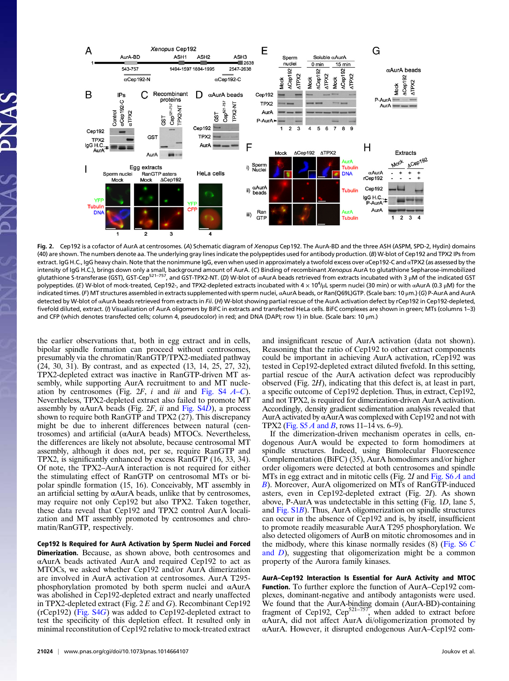

Fig. 2. Cep192 is a cofactor of AurA at centrosomes. (A) Schematic diagram of Xenopus Cep192. The AurA-BD and the three ASH (ASPM, SPD-2, Hydin) domains (40) are shown. The numbers denote aa. The underlying gray lines indicate the polypeptides used for antibody production. (B) W-blot of Cep192 and TPX2 IPs from extract. IgG H.C., IgG heavy chain. Note that the nonimmune IgG, even when used in approximately a twofold excess over αCep192-C and αTPX2 (as assessed by the intensity of IgG H.C.), brings down only a small, background amount of AurA. (C) Binding of recombinant Xenopus AurA to glutathione Sepharose-immobilized glutathione S-transferase (GST), GST-Cep<sup>521–757</sup>, and GST-TPX2-NT. (D) W-blot of αAurA beads retrieved from extracts incubated with 3 μM of the indicated GST polypeptides. (*E*) W-blot of mock-treated, Cep192-, and TPX2-depleted extracts incubated with 4 × 10<sup>4</sup>/μL sperm nuclei (30 min) or with αAurA (0.3 μM) for the indicated times. (F) MT structures assembled in extracts supplemented with sperm nuclei, αAurA beads, or Ran(Q69L)GTP. (Scale bars: 10 μm.) (G) P-AurA and AurA detected by W-blot of αAurA beads retrieved from extracts in Fii. (H) W-blot showing partial rescue of the AurA activation defect by rCep192 in Cep192-depleted, fivefold diluted, extract. (I) Visualization of AurA oligomers by BiFC in extracts and transfected HeLa cells. BiFC complexes are shown in green; MTs (columns 1-3) and CFP (which denotes transfected cells; column 4, pseudocolor) in red; and DNA (DAPI; row 1) in blue. (Scale bars: 10 μm.)

the earlier observations that, both in egg extract and in cells, bipolar spindle formation can proceed without centrosomes, presumably via the chromatin/RanGTP/TPX2-mediated pathway (24, 30, 31). By contrast, and as expected (13, 14, 25, 27, 32), TPX2-depleted extract was inactive in RanGTP-driven MT assembly, while supporting AurA recruitment to and MT nucleation by centrosomes (Fig.  $2F$ , i and iii and [Fig. S4](http://www.pnas.org/lookup/suppl/doi:10.1073/pnas.1014664107/-/DCSupplemental/pnas.201014664SI.pdf?targetid=nameddest=SF4)  $A-C$ ). Nevertheless, TPX2-depleted extract also failed to promote MT assembly by  $\alpha$ AurA beads (Fig. 2F, ii and [Fig. S4](http://www.pnas.org/lookup/suppl/doi:10.1073/pnas.1014664107/-/DCSupplemental/pnas.201014664SI.pdf?targetid=nameddest=SF4)D), a process shown to require both RanGTP and TPX2 (27). This discrepancy might be due to inherent differences between natural (centrosomes) and artificial (αAurA beads) MTOCs. Nevertheless, the differences are likely not absolute, because centrosomal MT assembly, although it does not, per se, require RanGTP and TPX2, is significantly enhanced by excess RanGTP (16, 33, 34). Of note, the TPX2–AurA interaction is not required for either the stimulating effect of RanGTP on centrosomal MTs or bipolar spindle formation (15, 16). Conceivably, MT assembly in an artificial setting by αAurA beads, unlike that by centrosomes, may require not only Cep192 but also TPX2. Taken together, these data reveal that Cep192 and TPX2 control AurA localization and MT assembly promoted by centrosomes and chromatin/RanGTP, respectively.

Cep192 Is Required for AurA Activation by Sperm Nuclei and Forced Dimerization. Because, as shown above, both centrosomes and αAurA beads activated AurA and required Cep192 to act as MTOCs, we asked whether Cep192 and/or AurA dimerization are involved in AurA activation at centrosomes. AurA T295 phosphorylation promoted by both sperm nuclei and αAurA was abolished in Cep192-depleted extract and nearly unaffected in TPX2-depleted extract (Fig.  $2 E$  and G). Recombinant Cep192 (rCep192) [\(Fig. S4](http://www.pnas.org/lookup/suppl/doi:10.1073/pnas.1014664107/-/DCSupplemental/pnas.201014664SI.pdf?targetid=nameddest=SF4)G) was added to Cep192-depleted extract to test the specificity of this depletion effect. It resulted only in minimal reconstitution of Cep192 relative to mock-treated extract and insignificant rescue of AurA activation (data not shown). Reasoning that the ratio of Cep192 to other extract components could be important in achieving AurA activation, rCep192 was tested in Cep192-depleted extract diluted fivefold. In this setting, partial rescue of the AurA activation defect was reproducibly observed (Fig. 2H), indicating that this defect is, at least in part, a specific outcome of Cep192 depletion. Thus, in extract, Cep192, and not TPX2, is required for dimerization-driven AurA activation. Accordingly, density gradient sedimentation analysis revealed that AurA activated by αAurA was complexed with Cep192 and not with TPX2 (Fig.  $S5A$  and B, rows 11–14 vs. 6–9).

If the dimerization-driven mechanism operates in cells, endogenous AurA would be expected to form homodimers at spindle structures. Indeed, using Bimolecular Fluorescence Complementation (BiFC) (35), AurA homodimers and/or higher order oligomers were detected at both centrosomes and spindle MTs in egg extract and in mitotic cells (Fig. 2I and Fig.  $S6\overline{A}$  and [B](http://www.pnas.org/lookup/suppl/doi:10.1073/pnas.1014664107/-/DCSupplemental/pnas.201014664SI.pdf?targetid=nameddest=SF6)). Moreover, AurA oligomerized on MTs of RanGTP-induced asters, even in Cep192-depleted extract (Fig. 2I). As shown above, P-AurA was undetectable in this setting (Fig. 1D, lane 5, and [Fig. S1](http://www.pnas.org/lookup/suppl/doi:10.1073/pnas.1014664107/-/DCSupplemental/pnas.201014664SI.pdf?targetid=nameddest=SF1)B). Thus, AurA oligomerization on spindle structures can occur in the absence of Cep192 and is, by itself, insufficient to promote readily measurable AurA T295 phosphorylation. We also detected oligomers of AurB on mitotic chromosomes and in the midbody, where this kinase normally resides (8) ([Fig. S6](http://www.pnas.org/lookup/suppl/doi:10.1073/pnas.1014664107/-/DCSupplemental/pnas.201014664SI.pdf?targetid=nameddest=SF6) C [and](http://www.pnas.org/lookup/suppl/doi:10.1073/pnas.1014664107/-/DCSupplemental/pnas.201014664SI.pdf?targetid=nameddest=SF6)  $D$ ), suggesting that oligomerization might be a common property of the Aurora family kinases.

AurA–Cep192 Interaction Is Essential for AurA Activity and MTOC Function. To further explore the function of AurA–Cep192 complexes, dominant-negative and antibody antagonists were used. We found that the AurA-binding domain (AurA-BD)-containing fragment of Cep192,  $Cep^{521-757}$ , when added to extract before αAurA, did not affect AurA di/oligomerization promoted by αAurA. However, it disrupted endogenous AurA–Cep192 com-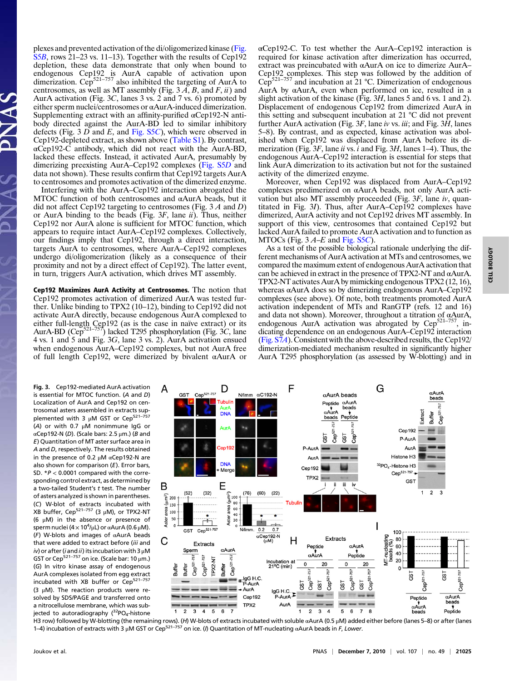plexes and prevented activation of the di/oligomerized kinase ([Fig.](http://www.pnas.org/lookup/suppl/doi:10.1073/pnas.1014664107/-/DCSupplemental/pnas.201014664SI.pdf?targetid=nameddest=SF5) [S5](http://www.pnas.org/lookup/suppl/doi:10.1073/pnas.1014664107/-/DCSupplemental/pnas.201014664SI.pdf?targetid=nameddest=SF5)B, rows 21–23 vs. 11–13). Together with the results of Cep192 depletion, these data demonstrate that only when bound to endogenous Cep192 is AurA capable of activation upon dimerization. Cep<sup>521–757</sup> also inhibited the targeting of AurA to centrosomes, as well as MT assembly (Fig.  $3\overline{A}$ ,  $\overline{B}$ , and  $\overline{F}$ ,  $\overline{u}$ ) and AurA activation (Fig. 3C, lanes 3 vs. 2 and 7 vs. 6) promoted by either sperm nuclei/centrosomes or αAurA-induced dimerization. Supplementing extract with an affinity-purified αCep192-N antibody directed against the AurA-BD led to similar inhibitory defects (Fig. 3  $D$  and  $E$ , and [Fig. S5](http://www.pnas.org/lookup/suppl/doi:10.1073/pnas.1014664107/-/DCSupplemental/pnas.201014664SI.pdf?targetid=nameddest=SF5)C), which were observed in Cep192-depleted extract, as shown above [\(Table S1](http://www.pnas.org/lookup/suppl/doi:10.1073/pnas.1014664107/-/DCSupplemental/st01.doc)). By contrast, αCep192-C antibody, which did not react with the AurA-BD, lacked these effects. Instead, it activated AurA, presumably by dimerizing preexisting AurA–Cep192 complexes ([Fig. S5](http://www.pnas.org/lookup/suppl/doi:10.1073/pnas.1014664107/-/DCSupplemental/pnas.201014664SI.pdf?targetid=nameddest=SF5)D and data not shown). These results confirm that Cep192 targets AurA to centrosomes and promotes activation of the dimerized enzyme.

Interfering with the AurA–Cep192 interaction abrogated the MTOC function of both centrosomes and αAurA beads, but it did not affect Cep192 targeting to centrosomes (Fig.  $3A$  and D) or AurA binding to the beads (Fig.  $3F$ , lane *ii*). Thus, neither Cep192 nor AurA alone is sufficient for MTOC function, which appears to require intact AurA–Cep192 complexes. Collectively, our findings imply that Cep192, through a direct interaction, targets AurA to centrosomes, where AurA–Cep192 complexes undergo di/oligomerization (likely as a consequence of their proximity and not by a direct effect of Cep192). The latter event, in turn, triggers AurA activation, which drives MT assembly.

Cep192 Maximizes AurA Activity at Centrosomes. The notion that Cep192 promotes activation of dimerized AurA was tested further. Unlike binding to TPX2 (10–12), binding to Cep192 did not activate AurA directly, because endogenous AurA complexed to either full-length Cep192 (as is the case in naïve extract) or its<br>AurA-BD (Cep<sup>521–757</sup>) lacked T295 phosphorylation (Fig. 3C, lane 4 vs. 1 and 5 and Fig. 3G, lane 3 vs. 2). AurA activation ensued when endogenous AurA–Cep192 complexes, but not AurA free of full length Cep192, were dimerized by bivalent αAurA or

αCep192-C. To test whether the AurA–Cep192 interaction is required for kinase activation after dimerization has occurred, extract was preincubated with αAurA on ice to dimerize AurA– Cep192 complexes. This step was followed by the addition of  $Cen<sup>521-757</sup>$  and incubation at 21 °C. Dimerization of endogenous  $Cep^{521-757}$  and incubation at 21 °C. Dimerization of endogenous AurA by αAurA, even when performed on ice, resulted in a slight activation of the kinase (Fig. 3H, lanes 5 and 6 vs. 1 and 2). Displacement of endogenous Cep192 from dimerized AurA in this setting and subsequent incubation at 21 °C did not prevent further AurA activation (Fig.  $3F$ , lane iv vs. iii; and Fig.  $3H$ , lanes 5–8). By contrast, and as expected, kinase activation was abolished when Cep192 was displaced from AurA before its dimerization (Fig.  $3F$ , lane *ii* vs. *i* and Fig.  $3H$ , lanes 1–4). Thus, the endogenous AurA–Cep192 interaction is essential for steps that link AurA dimerization to its activation but not for the sustained activity of the dimerized enzyme.

Moreover, when Cep192 was displaced from AurA–Cep192 complexes predimerized on αAurA beads, not only AurA activation but also MT assembly proceeded (Fig.  $3F$ , lane iv, quantitated in Fig. 3I). Thus, after AurA–Cep192 complexes have dimerized, AurA activity and not Cep192 drives MT assembly. In support of this view, centrosomes that contained Cep192 but lacked AurA failed to promote AurA activation and to function as MTOCs (Fig.  $3A-E$  and [Fig. S5](http://www.pnas.org/lookup/suppl/doi:10.1073/pnas.1014664107/-/DCSupplemental/pnas.201014664SI.pdf?targetid=nameddest=SF5)C).

As a test of the possible biological rationale underlying the different mechanisms of AurA activation at MTs and centrosomes, we compared the maximum extent of endogenous AurA activation that can be achieved in extract in the presence of TPX2-NT and  $\alpha$ AurA. TPX2-NT activates AurA by mimicking endogenous TPX2 (12, 16), whereas αAurA does so by dimerizing endogenous AurA–Cep192 complexes (see above). Of note, both treatments promoted AurA activation independent of MTs and RanGTP (refs. 12 and 16) and data not shown). Moreover, throughout a titration of αAurA, endogenous AurA activation was abrogated by  $Cep^{521-757}$ , indicating dependence on an endogenous AurA–Cep192 interaction [\(Fig. S7](http://www.pnas.org/lookup/suppl/doi:10.1073/pnas.1014664107/-/DCSupplemental/pnas.201014664SI.pdf?targetid=nameddest=SF7)A). Consistent with the above-described results, the Cep192/ dimerization-mediated mechanism resulted in significantly higher AurA T295 phosphorylation (as assessed by W-blotting) and in

Fig. 3. Cep192-mediated AurA activation is essential for MTOC function. (A and D) Localization of AurA and Cep192 on centrosomal asters assembled in extracts sup-<br>plemented with 3 μM GST or Cep<sup>521–757</sup> (A) or with 0.7 μM nonimmune IgG or αCep192-N (D). (Scale bars: 2.5 μm.) (B and E) Quantitation of MT aster surface area in A and D, respectively. The results obtained in the presence of 0.2 μM αCep192-N are also shown for comparison  $(E)$ . Error bars, SD.  $*P < 0.0001$  compared with the corresponding control extract, as determined by a two-tailed Student's  $t$  test. The number of asters analyzed is shown in parentheses. (C) W-blot of extracts incubated with XB buffer, Cep<sup>521-757</sup> (3  $\mu$ M), or TPX2-NT (6 μM) in the absence or presence of sperm nuclei (4  $\times$  10<sup>4</sup>/µL) or  $\alpha$ AurA (0.6 µM). (F) W-blots and images of αAurA beads that were added to extract before (iii and  $iv$ ) or after (i and ii) its incubation with 3  $\mu$ M GST or Cep<sup>521–757</sup> on ice. (Scale bar: 10  $\mu$ m.) (G) In vitro kinase assay of endogenous AurA complexes isolated from egg extract incubated with XB buffer or Cep<sup>521-757</sup> (3  $\mu$ M). The reaction products were resolved by SDS/PAGE and transferred onto a nitrocellulose membrane, which was subjected to autoradiography  $(^{32}PO_{4}$ -histone

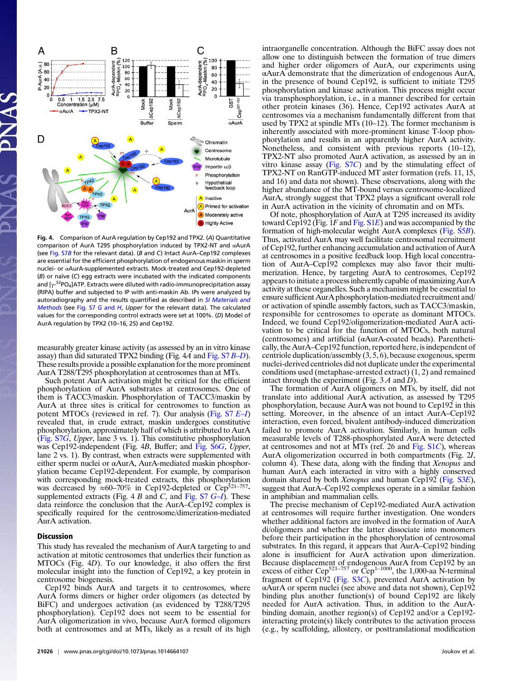

Fig. 4. Comparison of AurA regulation by Cep192 and TPX2. (A) Quantitative comparison of AurA T295 phosphorylation induced by TPX2-NT and αAurA (see [Fig. S7](http://www.pnas.org/lookup/suppl/doi:10.1073/pnas.1014664107/-/DCSupplemental/pnas.201014664SI.pdf?targetid=nameddest=SF7)B for the relevant data). (B and C) Intact AurA–Cep192 complexes are essential for the efficient phosphorylation of endogenous maskin in sperm nuclei- or αAurA-supplemented extracts. Mock-treated and Cep192-depleted (B) or naïve (C) egg extracts were incubated with the indicated components and [ $\gamma$ -<sup>32</sup>PO<sub>4</sub>]ATP. Extracts were diluted with radio-immunoprecipitation assay (RIPA) buffer and subjected to IP with anti-maskin Ab. IPs were analyzed by autoradiography and the results quantified as described in [SI Materials and](http://www.pnas.org/lookup/suppl/doi:10.1073/pnas.1014664107/-/DCSupplemental/pnas.201014664SI.pdf?targetid=nameddest=STXT) [Methods](http://www.pnas.org/lookup/suppl/doi:10.1073/pnas.1014664107/-/DCSupplemental/pnas.201014664SI.pdf?targetid=nameddest=STXT) (see [Fig. S7](http://www.pnas.org/lookup/suppl/doi:10.1073/pnas.1014664107/-/DCSupplemental/pnas.201014664SI.pdf?targetid=nameddest=SF7) G and H, Upper for the relevant data). The calculated values for the corresponding control extracts were set at 100%. (D) Model of AurA regulation by TPX2 (10–16, 25) and Cep192.

measurably greater kinase activity (as assessed by an in vitro kinase assay) than did saturated TPX2 binding (Fig. 4A and [Fig. S7](http://www.pnas.org/lookup/suppl/doi:10.1073/pnas.1014664107/-/DCSupplemental/pnas.201014664SI.pdf?targetid=nameddest=SF7) B–D). These results provide a possible explanation for the more prominent AurA T288/T295 phosphorylation at centrosomes than at MTs.

Such potent AurA activation might be critical for the efficient phosphorylation of AurA substrates at centrosomes. One of them is TACC3/maskin. Phosphorylation of TACC3/maskin by AurA at three sites is critical for centrosomes to function as potent MTOCs (reviewed in ref. 7). Our analysis [\(Fig. S7](http://www.pnas.org/lookup/suppl/doi:10.1073/pnas.1014664107/-/DCSupplemental/pnas.201014664SI.pdf?targetid=nameddest=SF7) E-I) revealed that, in crude extract, maskin undergoes constitutive phosphorylation, approximately half of which is attributed to AurA [\(Fig. S7](http://www.pnas.org/lookup/suppl/doi:10.1073/pnas.1014664107/-/DCSupplemental/pnas.201014664SI.pdf?targetid=nameddest=SF7)G, Upper, lane 3 vs. 1). This constitutive phosphorylation was Cep192-independent (Fig. 4B, Buffer; and [Fig. S6](http://www.pnas.org/lookup/suppl/doi:10.1073/pnas.1014664107/-/DCSupplemental/pnas.201014664SI.pdf?targetid=nameddest=SF6)G, Upper, lane 2 vs. 1). By contrast, when extracts were supplemented with either sperm nuclei or αAurA, AurA-mediated maskin phosphorylation became Cep192-dependent. For example, by comparison with corresponding mock-treated extracts, this phosphorylation was decreased by  $\approx 60-70\%$  in Cep192-depleted or Cep<sup>521–757</sup>supplemented extracts (Fig. 4 B and C, and Fig.  $S7$   $G-I$ ). These data reinforce the conclusion that the AurA–Cep192 complex is specifically required for the centrosome/dimerization-mediated AurA activation.

## Discussion

This study has revealed the mechanism of AurA targeting to and activation at mitotic centrosomes that underlies their function as MTOCs (Fig. 4D). To our knowledge, it also offers the first molecular insight into the function of Cep192, a key protein in centrosome biogenesis.

Cep192 binds AurA and targets it to centrosomes, where AurA forms dimers or higher order oligomers (as detected by BiFC) and undergoes activation (as evidenced by T288/T295 phosphorylation). Cep192 does not seem to be essential for AurA oligomerization in vivo, because AurA formed oligomers both at centrosomes and at MTs, likely as a result of its high intraorganelle concentration. Although the BiFC assay does not allow one to distinguish between the formation of true dimers and higher order oligomers of AurA, our experiments using αAurA demonstrate that the dimerization of endogenous AurA, in the presence of bound Cep192, is sufficient to initiate T295 phosphorylation and kinase activation. This process might occur via transphosphorylation, i.e., in a manner described for certain other protein kinases (36). Hence, Cep192 activates AurA at centrosomes via a mechanism fundamentally different from that used by TPX2 at spindle MTs (10–12). The former mechanism is inherently associated with more-prominent kinase T-loop phosphorylation and results in an apparently higher AurA activity. Nonetheless, and consistent with previous reports (10–12), TPX2-NT also promoted AurA activation, as assessed by an in vitro kinase assay (Fig.  $S7C$ ) and by the stimulating effect of TPX2-NT on RanGTP-induced MT aster formation (refs. 11, 15, and 16) and data not shown). These observations, along with the higher abundance of the MT-bound versus centrosome-localized AurA, strongly suggest that TPX2 plays a significant overall role in AurA activation in the vicinity of chromatin and on MTs.

Of note, phosphorylation of AurA at T295 increased its avidity toward Cep192 (Fig. 1F and [Fig. S1](http://www.pnas.org/lookup/suppl/doi:10.1073/pnas.1014664107/-/DCSupplemental/pnas.201014664SI.pdf?targetid=nameddest=SF1)E) and was accompanied by the formation of high-molecular weight AurA complexes ([Fig. S5](http://www.pnas.org/lookup/suppl/doi:10.1073/pnas.1014664107/-/DCSupplemental/pnas.201014664SI.pdf?targetid=nameddest=SF5)B). Thus, activated AurA may well facilitate centrosomal recruitment of Cep192, further enhancing accumulation and activation of AurA at centrosomes in a positive feedback loop. High local concentration of AurA–Cep192 complexes may also favor their multimerization. Hence, by targeting AurA to centrosomes, Cep192 appears to initiate a process inherently capable of maximizing AurA activity at these organelles. Such a mechanism might be essential to ensure sufficient AurA phosphorylation-mediated recruitment and/ or activation of spindle assembly factors, such as TACC3/maskin, responsible for centrosomes to operate as dominant MTOCs. Indeed, we found Cep192/oligomerization-mediated AurA activation to be critical for the function of MTOCs, both natural (centrosomes) and artificial (αAurA-coated beads). Parenthetically, the AurA–Cep192 function, reported here, is independent of centriole duplication/assembly (3, 5, 6), because exogenous, sperm nuclei-derived centrioles did not duplicate under the experimental conditions used (metaphase-arrested extract) (1, 2) and remained intact through the experiment (Fig.  $3A$  and D).

The formation of AurA oligomers on MTs, by itself, did not translate into additional AurA activation, as assessed by T295 phosphorylation, because AurA was not bound to Cep192 in this setting. Moreover, in the absence of an intact AurA–Cep192 interaction, even forced, bivalent antibody-induced dimerization failed to promote AurA activation. Similarly, in human cells measurable levels of T288-phosphorylated AurA were detected at centrosomes and not at MTs (ref. 26 and [Fig. S1](http://www.pnas.org/lookup/suppl/doi:10.1073/pnas.1014664107/-/DCSupplemental/pnas.201014664SI.pdf?targetid=nameddest=SF1)C), whereas AurA oligomerization occurred in both compartments (Fig. 2I, column 4). These data, along with the finding that Xenopus and human AurA each interacted in vitro with a highly conserved domain shared by both Xenopus and human Cep192 ([Fig. S3](http://www.pnas.org/lookup/suppl/doi:10.1073/pnas.1014664107/-/DCSupplemental/pnas.201014664SI.pdf?targetid=nameddest=SF3)E), suggest that AurA–Cep192 complexes operate in a similar fashion in amphibian and mammalian cells.

The precise mechanism of Cep192-mediated AurA activation at centrosomes will require further investigation. One wonders whether additional factors are involved in the formation of AurA di/oligomers and whether the latter dissociate into monomers before their participation in the phosphorylation of centrosomal substrates. In this regard, it appears that AurA–Cep192 binding alone is insufficient for AurA activation upon dimerization. Because displacement of endogenous AurA from Cep192 by an excess of either Cep<sup>521–757</sup> or Cep<sup>1–1000</sup>, the 1,000-aa N-terminal fragment of Cep192 ([Fig. S3](http://www.pnas.org/lookup/suppl/doi:10.1073/pnas.1014664107/-/DCSupplemental/pnas.201014664SI.pdf?targetid=nameddest=SF3)C), prevented AurA activation by αAurA or sperm nuclei (see above and data not shown), Cep192 binding plus another function(s) of bound Cep192 are likely needed for AurA activation. Thus, in addition to the AurAbinding domain, another region(s) of Cep192 and/or a Cep192 interacting protein(s) likely contributes to the activation process (e.g., by scaffolding, allostery, or posttranslational modification